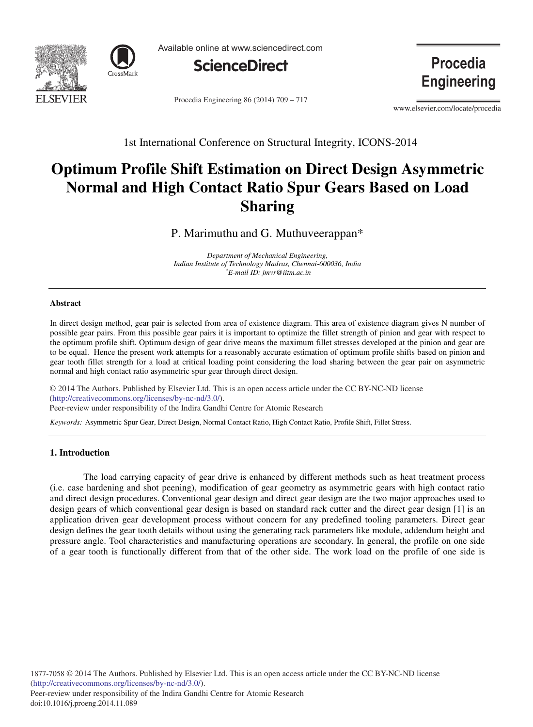



Available online at www.sciencedirect.com



Procedia Engineering 86 (2014) 709 - 717

**Procedia Engineering** 

www.elsevier.com/locate/procedia

1st International Conference on Structural Integrity, ICONS-2014

# **Optimum Profile Shift Estimation on Direct Design Asymmetric Normal and High Contact Ratio Spur Gears Based on Load Sharing**

P. Marimuthu and G. Muthuveerappan\*

*Department of Mechanical Engineering, Indian Institute of Technology Madras, Chennai-600036, India \* E-mail ID: jmvr@iitm.ac.in* 

#### **Abstract**

In direct design method, gear pair is selected from area of existence diagram. This area of existence diagram gives N number of possible gear pairs. From this possible gear pairs it is important to optimize the fillet strength of pinion and gear with respect to the optimum profile shift. Optimum design of gear drive means the maximum fillet stresses developed at the pinion and gear are to be equal. Hence the present work attempts for a reasonably accurate estimation of optimum profile shifts based on pinion and gear tooth fillet strength for a load at critical loading point considering the load sharing between the gear pair on asymmetric normal and high contact ratio asymmetric spur gear through direct design.

© 2014 The Authors. Published by Elsevier Ltd. © 2014 The Authors. Published by Elsevier Ltd. This is an open access article under the CC BY-NC-ND license Peer-review under responsibility of the Indira Gandhi Centre for Atomic Research. Peer-review under responsibility of the Indira Gandhi Centre for Atomic Research(http://creativecommons.org/licenses/by-nc-nd/3.0/).

*Keywords:* Asymmetric Spur Gear, Direct Design, Normal Contact Ratio, High Contact Ratio, Profile Shift, Fillet Stress.

### **1. Introduction**

The load carrying capacity of gear drive is enhanced by different methods such as heat treatment process (i.e. case hardening and shot peening), modification of gear geometry as asymmetric gears with high contact ratio and direct design procedures. Conventional gear design and direct gear design are the two major approaches used to design gears of which conventional gear design is based on standard rack cutter and the direct gear design [1] is an application driven gear development process without concern for any predefined tooling parameters. Direct gear design defines the gear tooth details without using the generating rack parameters like module, addendum height and pressure angle. Tool characteristics and manufacturing operations are secondary. In general, the profile on one side of a gear tooth is functionally different from that of the other side. The work load on the profile of one side is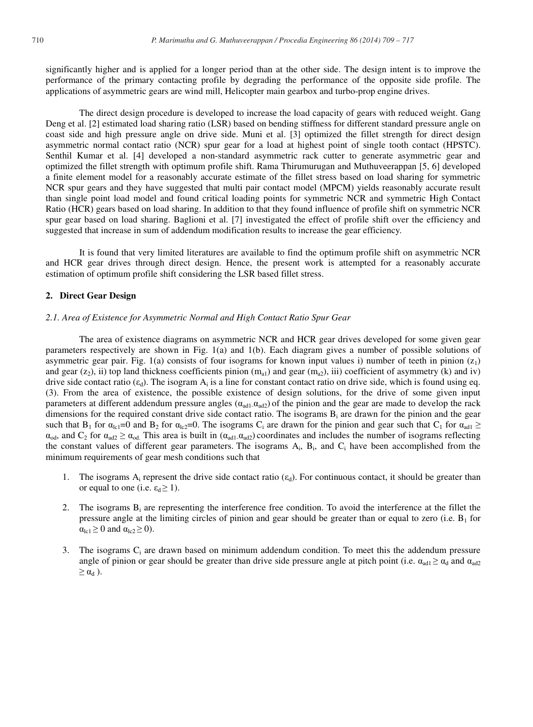significantly higher and is applied for a longer period than at the other side. The design intent is to improve the performance of the primary contacting profile by degrading the performance of the opposite side profile. The applications of asymmetric gears are wind mill, Helicopter main gearbox and turbo-prop engine drives.

The direct design procedure is developed to increase the load capacity of gears with reduced weight. Gang Deng et al. [2] estimated load sharing ratio (LSR) based on bending stiffness for different standard pressure angle on coast side and high pressure angle on drive side. Muni et al. [3] optimized the fillet strength for direct design asymmetric normal contact ratio (NCR) spur gear for a load at highest point of single tooth contact (HPSTC). Senthil Kumar et al. [4] developed a non-standard asymmetric rack cutter to generate asymmetric gear and optimized the fillet strength with optimum profile shift. Rama Thirumurugan and Muthuveerappan [5, 6] developed a finite element model for a reasonably accurate estimate of the fillet stress based on load sharing for symmetric NCR spur gears and they have suggested that multi pair contact model (MPCM) yields reasonably accurate result than single point load model and found critical loading points for symmetric NCR and symmetric High Contact Ratio (HCR) gears based on load sharing. In addition to that they found influence of profile shift on symmetric NCR spur gear based on load sharing. Baglioni et al. [7] investigated the effect of profile shift over the efficiency and suggested that increase in sum of addendum modification results to increase the gear efficiency.

It is found that very limited literatures are available to find the optimum profile shift on asymmetric NCR and HCR gear drives through direct design. Hence, the present work is attempted for a reasonably accurate estimation of optimum profile shift considering the LSR based fillet stress.

#### **2. Direct Gear Design**

### *2.1. Area of Existence for Asymmetric Normal and High Contact Ratio Spur Gear*

The area of existence diagrams on asymmetric NCR and HCR gear drives developed for some given gear parameters respectively are shown in Fig. 1(a) and 1(b). Each diagram gives a number of possible solutions of asymmetric gear pair. Fig. 1(a) consists of four isograms for known input values i) number of teeth in pinion  $(z_1)$ and gear  $(z_2)$ , ii) top land thickness coefficients pinion  $(m_{a1})$  and gear  $(m_{a2})$ , iii) coefficient of asymmetry (k) and iv) drive side contact ratio  $(\epsilon_d)$ . The isogram A<sub>i</sub> is a line for constant contact ratio on drive side, which is found using eq. (3). From the area of existence, the possible existence of design solutions, for the drive of some given input parameters at different addendum pressure angles  $(a_{ad1}.a_{ad2})$  of the pinion and the gear are made to develop the rack dimensions for the required constant drive side contact ratio. The isograms  $B_i$  are drawn for the pinion and the gear such that B<sub>1</sub> for  $\alpha_{lc1}=0$  and B<sub>2</sub> for  $\alpha_{lc2}=0$ . The isograms C<sub>i</sub> are drawn for the pinion and gear such that C<sub>1</sub> for  $\alpha_{ad1} \ge$  $\alpha_{\text{od}}$ , and  $C_2$  for  $\alpha_{\text{ad2}} \ge \alpha_{\text{od}}$ . This area is built in  $(\alpha_{\text{ad1}} \alpha_{\text{ad2}})$  coordinates and includes the number of isograms reflecting the constant values of different gear parameters. The isograms  $A_i$ ,  $B_i$ , and  $C_i$  have been accomplished from the minimum requirements of gear mesh conditions such that

- 1. The isograms A<sub>i</sub> represent the drive side contact ratio  $(\epsilon_d)$ . For continuous contact, it should be greater than or equal to one (i.e.  $\varepsilon_d \ge 1$ ).
- 2. The isograms  $B_i$  are representing the interference free condition. To avoid the interference at the fillet the pressure angle at the limiting circles of pinion and gear should be greater than or equal to zero (i.e.  $B_1$  for  $\alpha_{\text{le1}} \geq 0$  and  $\alpha_{\text{le2}} \geq 0$ ).
- 3. The isograms  $C_i$  are drawn based on minimum addendum condition. To meet this the addendum pressure angle of pinion or gear should be greater than drive side pressure angle at pitch point (i.e.  $\alpha_{\text{ad1}} \ge \alpha_d$  and  $\alpha_{\text{ad2}}$ )  $\geq \alpha_d$ ).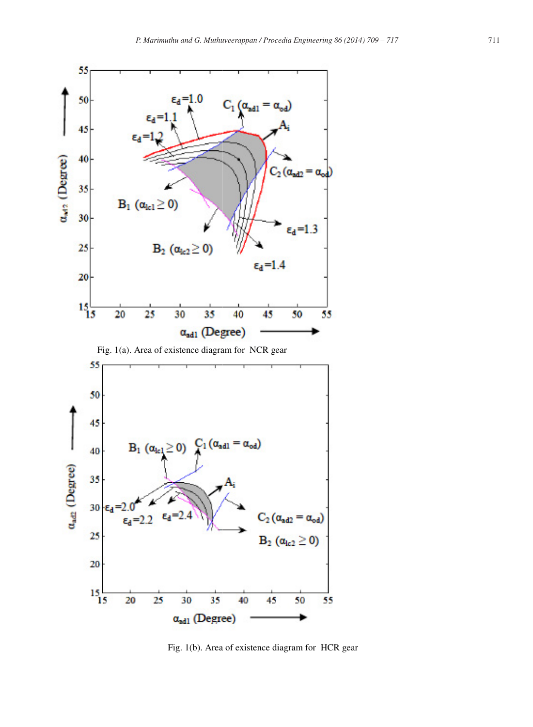

Fig. 1(b). Area of existence diagram for HCR gear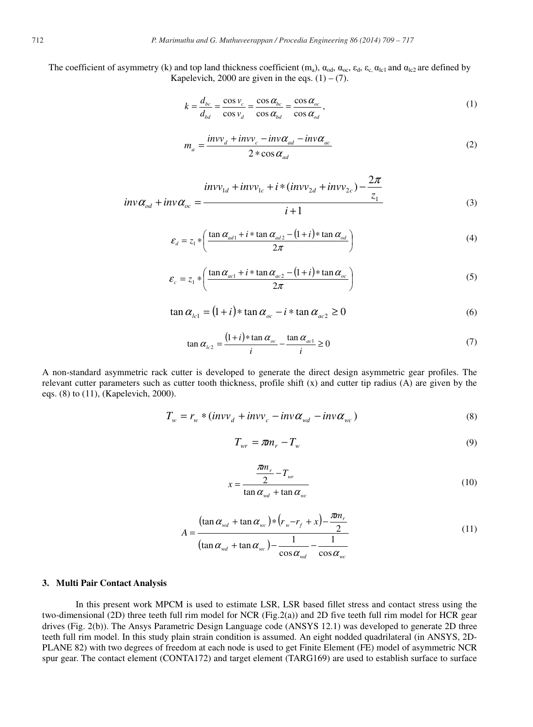The coefficient of asymmetry (k) and top land thickness coefficient  $(m_a)$ ,  $\alpha_{\text{od}}$ ,  $\alpha_{\text{od}}$ ,  $\epsilon_c$ ,  $\alpha_{\text{lc}}$  and  $\alpha_{\text{lc}}$  are defined by Kapelevich, 2000 are given in the eqs.  $(1) - (7)$ .

$$
k = \frac{d_{bc}}{d_{bd}} = \frac{\cos v_c}{\cos v_d} = \frac{\cos \alpha_{bc}}{\cos \alpha_{bd}} = \frac{\cos \alpha_{oc}}{\cos \alpha_{od}},
$$
\n(1)

$$
m_a = \frac{inv_{d} + inv_{c} - inv\alpha_{ad} - inv\alpha_{ac}}{2 * \cos \alpha_{ad}}
$$
 (2)

$$
inv\alpha_{od} + inv\alpha_{oc} = \frac{invv_{1d} + invv_{1c} + i*(invv_{2d} + invv_{2c}) - \frac{2\pi}{z_1}}{i+1}
$$
 (3)

$$
\varepsilon_d = z_1 \ast \left( \frac{\tan \alpha_{ad1} + i \ast \tan \alpha_{ad2} - (1+i) \ast \tan \alpha_{od}}{2\pi} \right)
$$
(4)

$$
\varepsilon_c = z_1 \ast \left( \frac{\tan \alpha_{ac1} + i \ast \tan \alpha_{ac2} - (1+i) \ast \tan \alpha_{oc}}{2\pi} \right)
$$
 (5)

$$
\tan \alpha_{l c1} = (1 + i) * \tan \alpha_{c} - i * \tan \alpha_{a c2} \ge 0 \tag{6}
$$

$$
\tan \alpha_{lc2} = \frac{(1+i)*\tan \alpha_{oc}}{i} - \frac{\tan \alpha_{ac1}}{i} \ge 0
$$
\n<sup>(7)</sup>

A non-standard asymmetric rack cutter is developed to generate the direct design asymmetric gear profiles. The relevant cutter parameters such as cutter tooth thickness, profile shift  $(x)$  and cutter tip radius  $(A)$  are given by the eqs. (8) to (11), (Kapelevich, 2000).

$$
T_w = r_w * (inv_{d} + inv_{c} - inv_{wd} - inv_{wc})
$$
\n(8)

$$
T_{wr} = \pi m_r - T_w \tag{9}
$$

$$
x = \frac{\frac{\pi n_r}{2} - T_{wr}}{\tan \alpha_{wd} + \tan \alpha_{wc}}
$$
(10)

$$
A = \frac{(\tan \alpha_{wd} + \tan \alpha_{wc}) * (r_w - r_f + x) - \frac{\pi n_r}{2}}{(\tan \alpha_{wd} + \tan \alpha_{wc}) - \frac{1}{\cos \alpha_{wd}} - \frac{1}{\cos \alpha_{wc}}}
$$
(11)

#### **3. Multi Pair Contact Analysis**

 In this present work MPCM is used to estimate LSR, LSR based fillet stress and contact stress using the two-dimensional (2D) three teeth full rim model for NCR (Fig.2(a)) and 2D five teeth full rim model for HCR gear drives (Fig. 2(b)). The Ansys Parametric Design Language code (ANSYS 12.1) was developed to generate 2D three teeth full rim model. In this study plain strain condition is assumed. An eight nodded quadrilateral (in ANSYS, 2D-PLANE 82) with two degrees of freedom at each node is used to get Finite Element (FE) model of asymmetric NCR spur gear. The contact element (CONTA172) and target element (TARG169) are used to establish surface to surface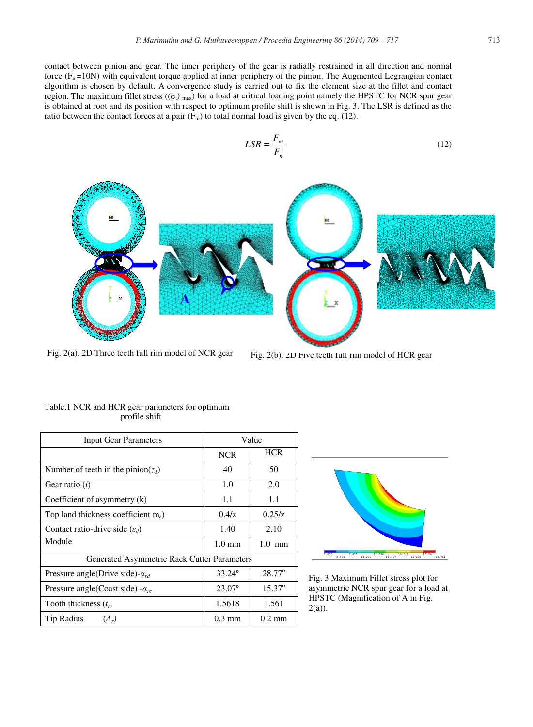contact between pinion and gear. The inner periphery of the gear is radially restrained in all direction and normal force  $(F_n = 10N)$  with equivalent torque applied at inner periphery of the pinion. The Augmented Legrangian contact algorithm is chosen by default. A convergence study is carried out to fix the element size at the fillet and contact region. The maximum fillet stress  $((\sigma_i)_{max})$  for a load at critical loading point namely the HPSTC for NCR spur gear is obtained at root and its position with respect to optimum profile shift is shown in Fig. 3. The LSR is defined as the ratio between the contact forces at a pair  $(F_{ni})$  to total normal load is given by the eq. (12).

$$
LSR = \frac{F_{ni}}{F_n} \tag{12}
$$



Fig. 2(a). 2D Three teeth full rim model of NCR gear Fig. 2(b). 2D Five teeth full rim model of HCR gear

| <b>Input Gear Parameters</b>                | Value            |                  |  |
|---------------------------------------------|------------------|------------------|--|
|                                             | <b>NCR</b>       | <b>HCR</b>       |  |
| Number of teeth in the pinion( $zl$ )       | 40               | 50               |  |
| Gear ratio $(i)$                            | 1.0              | 2.0              |  |
| Coefficient of asymmetry (k)                | 1.1              | 1.1              |  |
| Top land thickness coefficient $m_a$ )      | 0.4/z            | 0.25/z           |  |
| Contact ratio-drive side $(\varepsilon_d)$  | 1.40             | 2.10             |  |
| Module                                      | $1.0 \text{ mm}$ | $1.0 \text{ mm}$ |  |
| Generated Asymmetric Rack Cutter Parameters |                  |                  |  |
| Pressure angle(Drive side)- $\alpha_{rd}$   | 33.24°           | $28.77^{\circ}$  |  |
| Pressure angle(Coast side) - $\alpha_{rc}$  | $23.07^{\circ}$  | $15.37^{\circ}$  |  |
| Tooth thickness $(t_r)$                     | 1.5618           | 1.561            |  |
| <b>Tip Radius</b><br>$(A_r)$                | $0.3 \text{ mm}$ | $0.2 \text{ mm}$ |  |





Fig. 3 Maximum Fillet stress plot for asymmetric NCR spur gear for a load at HPSTC (Magnification of A in Fig. 2(a)).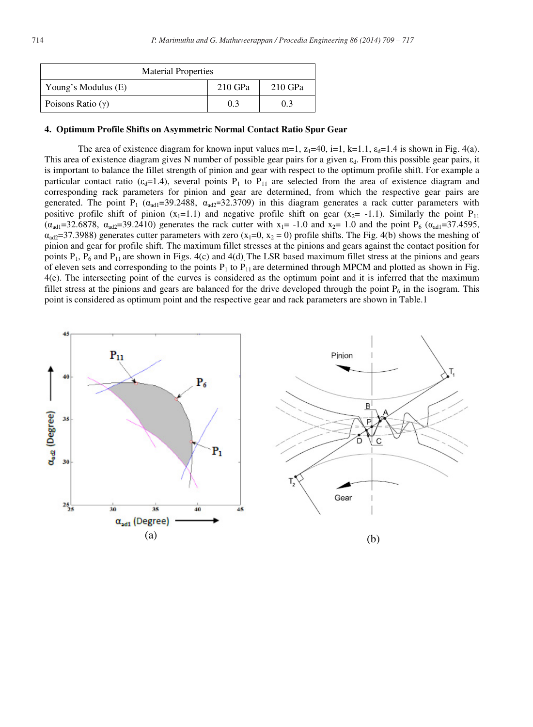| <b>Material Properties</b> |         |         |  |
|----------------------------|---------|---------|--|
| Young's Modulus (E)        | 210 GPa | 210 GPa |  |
| Poisons Ratio $(\gamma)$   | 0.3     | 0.3     |  |

#### **4. Optimum Profile Shifts on Asymmetric Normal Contact Ratio Spur Gear**

The area of existence diagram for known input values m=1,  $z_1$ =40, i=1, k=1.1,  $\varepsilon_d$ =1.4 is shown in Fig. 4(a). This area of existence diagram gives N number of possible gear pairs for a given  $\varepsilon_d$ . From this possible gear pairs, it is important to balance the fillet strength of pinion and gear with respect to the optimum profile shift. For example a particular contact ratio ( $\varepsilon_d$ =1.4), several points P<sub>1</sub> to P<sub>11</sub> are selected from the area of existence diagram and corresponding rack parameters for pinion and gear are determined, from which the respective gear pairs are generated. The point P<sub>1</sub> ( $\alpha_{ad1}$ =39.2488,  $\alpha_{ad2}$ =32.3709) in this diagram generates a rack cutter parameters with positive profile shift of pinion  $(x_1=1.1)$  and negative profile shift on gear  $(x_2 = -1.1)$ . Similarly the point P<sub>11</sub>  $(\alpha_{\text{ad}}=32.6878, \alpha_{\text{ad}}=39.2410)$  generates the rack cutter with  $x_1 = -1.0$  and  $x_2 = 1.0$  and the point P<sub>6</sub> ( $\alpha_{\text{ad}}=37.4595$ ,  $a_{ad2}=37.3988$ ) generates cutter parameters with zero (x<sub>1</sub>=0, x<sub>2</sub> = 0) profile shifts. The Fig. 4(b) shows the meshing of pinion and gear for profile shift. The maximum fillet stresses at the pinions and gears against the contact position for points  $P_1$ ,  $P_6$  and  $P_{11}$  are shown in Figs. 4(c) and 4(d). The LSR based maximum fillet stress at the pinions and gears of eleven sets and corresponding to the points  $P_1$  to  $P_{11}$  are determined through MPCM and plotted as shown in Fig. 4(e). The intersecting point of the curves is considered as the optimum point and it is inferred that the maximum fillet stress at the pinions and gears are balanced for the drive developed through the point  $P_6$  in the isogram. This point is considered as optimum point and the respective gear and rack parameters are shown in Table.1

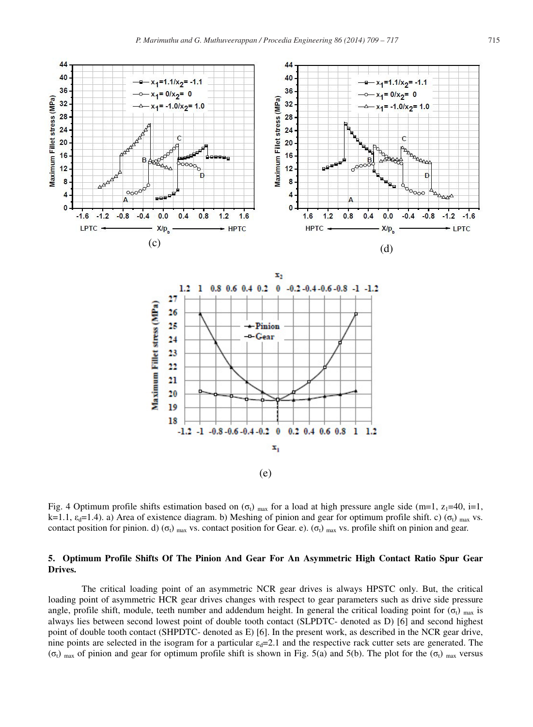

Fig. 4 Optimum profile shifts estimation based on  $(\sigma_t)$  <sub>max</sub> for a load at high pressure angle side (m=1, z<sub>1</sub>=40, i=1,  $k=1.1$ ,  $\varepsilon_d=1.4$ ). a) Area of existence diagram. b) Meshing of pinion and gear for optimum profile shift. c)  $(\sigma_t)$  <sub>max</sub> vs. contact position for pinion. d)  $(\sigma_t)$  max vs. contact position for Gear. e).  $(\sigma_t)$  max vs. profile shift on pinion and gear.

## **5. Optimum Profile Shifts Of The Pinion And Gear For An Asymmetric High Contact Ratio Spur Gear Drives.**

The critical loading point of an asymmetric NCR gear drives is always HPSTC only. But, the critical loading point of asymmetric HCR gear drives changes with respect to gear parameters such as drive side pressure angle, profile shift, module, teeth number and addendum height. In general the critical loading point for  $(\sigma_t)_{max}$  is always lies between second lowest point of double tooth contact (SLPDTC- denoted as D) [6] and second highest point of double tooth contact (SHPDTC- denoted as E) [6]. In the present work, as described in the NCR gear drive, nine points are selected in the isogram for a particular  $\varepsilon_d = 2.1$  and the respective rack cutter sets are generated. The  $(\sigma_t)$  max of pinion and gear for optimum profile shift is shown in Fig. 5(a) and 5(b). The plot for the  $(\sigma_t)$  max versus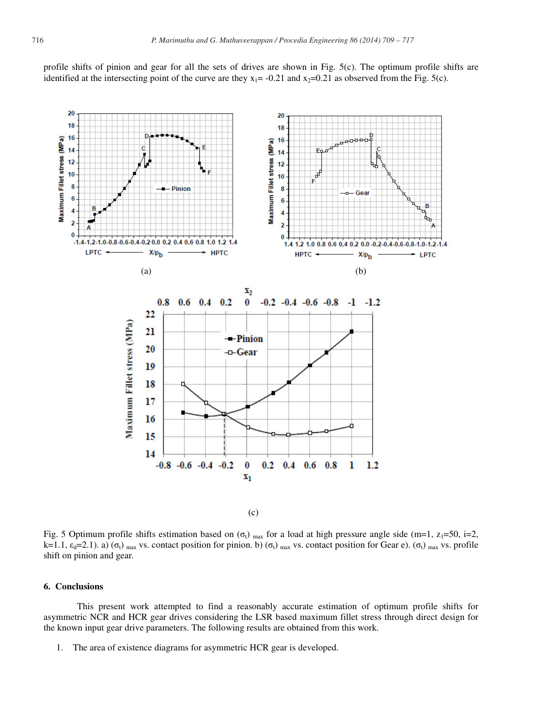



(c)

Fig. 5 Optimum profile shifts estimation based on  $(\sigma_1)$  <sub>max</sub> for a load at high pressure angle side (m=1, z<sub>1</sub>=50, i=2,  $k=1.1$ ,  $\varepsilon_d=2.1$ ). a)  $(\sigma_t)$  <sub>max</sub> vs. contact position for pinion. b)  $(\sigma_t)$  <sub>max</sub> vs. contact position for Gear e).  $(\sigma_t)$  <sub>max</sub> vs. profile shift on pinion and gear.

### **6. Conclusions**

 This present work attempted to find a reasonably accurate estimation of optimum profile shifts for asymmetric NCR and HCR gear drives considering the LSR based maximum fillet stress through direct design for the known input gear drive parameters. The following results are obtained from this work.

1. The area of existence diagrams for asymmetric HCR gear is developed.